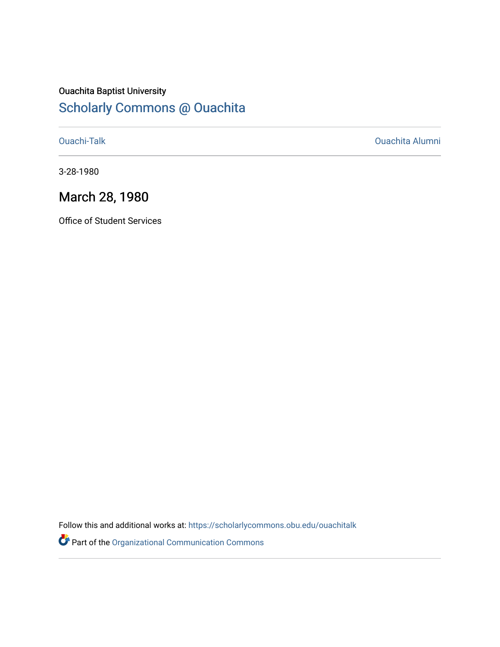### Ouachita Baptist University [Scholarly Commons @ Ouachita](https://scholarlycommons.obu.edu/)

[Ouachi-Talk](https://scholarlycommons.obu.edu/ouachitalk) [Ouachita Alumni](https://scholarlycommons.obu.edu/obu_alum) 

3-28-1980

## March 28, 1980

Office of Student Services

Follow this and additional works at: [https://scholarlycommons.obu.edu/ouachitalk](https://scholarlycommons.obu.edu/ouachitalk?utm_source=scholarlycommons.obu.edu%2Fouachitalk%2F83&utm_medium=PDF&utm_campaign=PDFCoverPages) 

Part of the [Organizational Communication Commons](http://network.bepress.com/hgg/discipline/335?utm_source=scholarlycommons.obu.edu%2Fouachitalk%2F83&utm_medium=PDF&utm_campaign=PDFCoverPages)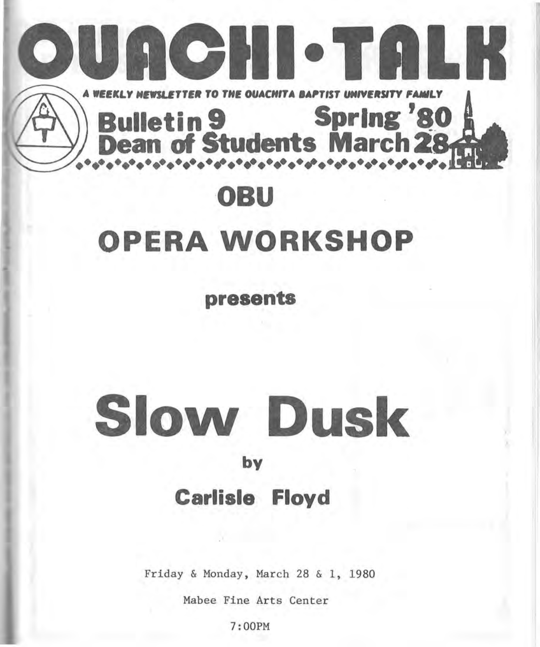

# OPERA WORKSHOP

presents

# Slovv Dusk

#### by

## Carlisle Floyd

Friday & Monday, March 28 & 1, 1980

Mabee Fine Arts Center

7:00PM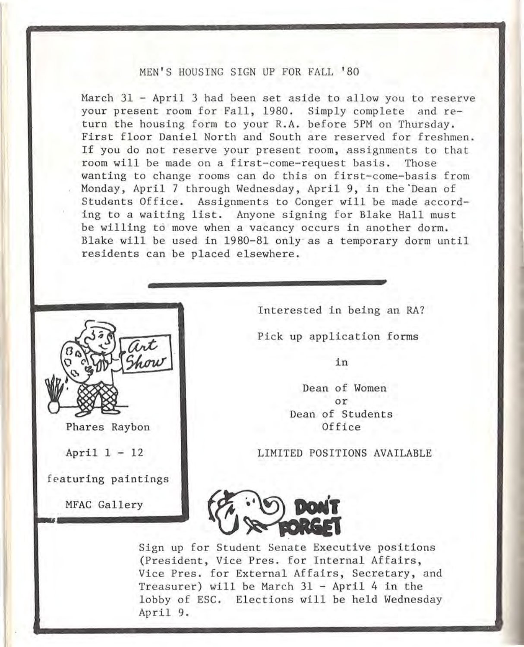#### MEN'S HOUSING SIGN UP FOR FALL '80

Harch 31 - April 3 had been set aside to allow you to reserve your present room for Fall, 1980. Simply complete and return the housing form to your R.A. before SPM on Thursday. First floor Daniel North and South are reserved for freshmen. If you do not reserve your present room, assignments to that room will be made on a first-come-request basis. Those wanting to change rooms can do this on first-come-basis from Monday, April 7 through Wednesday, April 9, in the'Dean of Students Office. Assignments to Conger will be made according to a waiting list. Anyone signing for Blake Hall must be willing to move when a vacancy occurs in another dorm. Blake will be used in 1980-81 only· as a temporary dorm until residents can be placed elsewhere.



Phares Raybon

April 1 - 12

featuring paintings

MFAC Gallery

Interested in being an RA?

Pick up application forms

in

Dean of Women or Dean of Students Office

LIMITED POSITIONS AVAILABLE



Sign up for Student Senate Executive positions (President, Vice Pres. for Internal Affairs, Vice Pres. for External Affairs, Secretary, and Treasurer) will be March 31 - April 4 in the lobby of ESC. Elections will be held Wednesday April 9.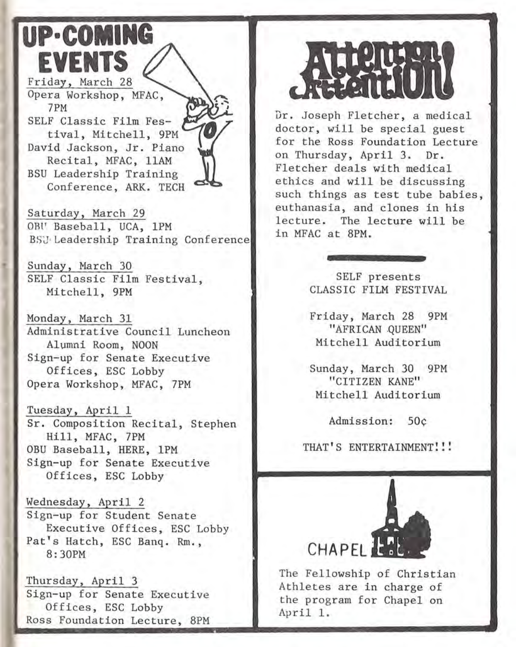# **UP·COMING EVENTS**

Friday, March 28 Opera Workshop, MFAC, 7PM SELF Classic Film Festival, Mitchell, 9PM David Jackson, Jr. Piano Recital, MFAC, llAM BSU Leadership Training Conference, ARK. TECH

Saturday, March 29 OBU Baseball, UCA, 1PM BSJ· Leadership Training Conference

Sunday, March 30 SELF Classic Film Festival, Mitchell, 9PM

Monday, March 31 Administrative Council Luncheon Alumni Room, NOON Sign-up for Senate Executive Offices, ESC Lobby Opera Workshop, MFAC, 7PM

Tuesday, April 1 Sr. Composition Recital, Stephen Hill, MFAC, 7PM OBU Baseball, HERE, lPM Sign-up for Senate Executive Offices, ESC Lobby

Wednesday, April 2 Sign-up for Student Senate Executive Offices, ESC Lobby Pat's Hatch, ESC Banq. Rm., 8:30PM

Thursday, April 3 Sign-up for Senate Executive Offices, ESC Lobby Ross Foundation Lecture, 8PM



Dr. Joseph Fletcher, a medical doctor, will be special guest for the Ross Foundation Lecture on Thursday, April 3. Dr. Fletcher deals with medical ethics and will be discussing such things as test tube babies, euthanasia, and clones in his lecture. The lecture will be in MFAC at 8PM.

> SELF presents CLASSIC FILM FESTIVAL

Friday, March 28 9PM "AFRICAN .QUEEN" Mitchell Auditorium

Sunday, March 30 9PM "CITIZEN KANE" Mitchell Auditorium

Admission: 50¢

THAT'S ENTERTAINMENT!!!



The Fellowship of Christian Athletes are in charge of the program for Chapel on April 1.